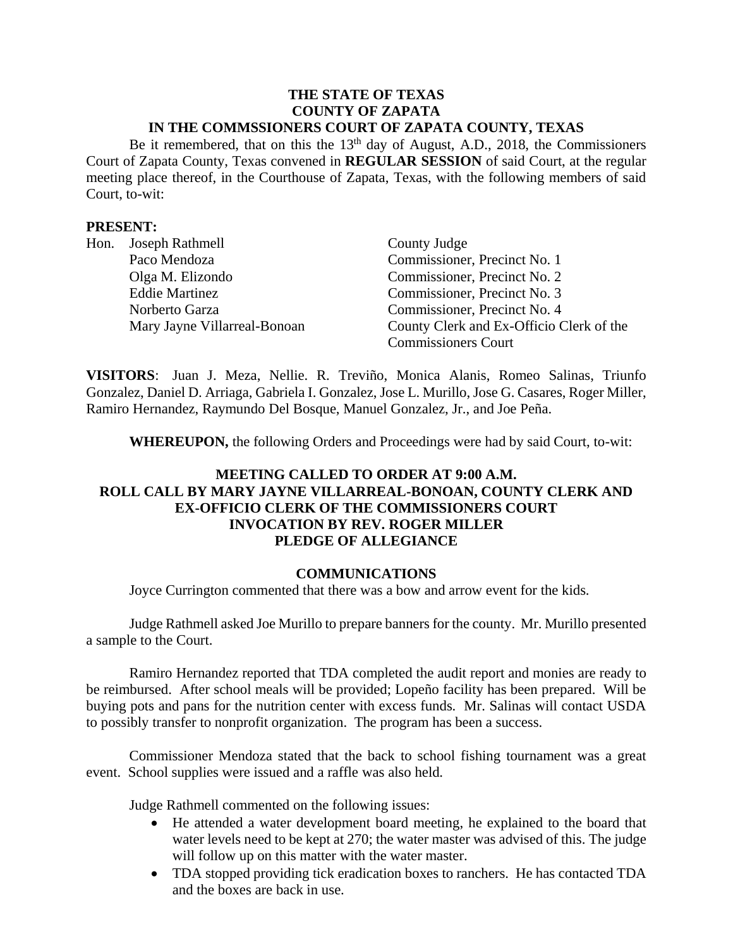#### **THE STATE OF TEXAS COUNTY OF ZAPATA IN THE COMMSSIONERS COURT OF ZAPATA COUNTY, TEXAS**

Be it remembered, that on this the  $13<sup>th</sup>$  day of August, A.D., 2018, the Commissioners Court of Zapata County, Texas convened in **REGULAR SESSION** of said Court, at the regular meeting place thereof, in the Courthouse of Zapata, Texas, with the following members of said Court, to-wit:

### **PRESENT:**

| Hon. | Joseph Rathmell              | County Judge                             |
|------|------------------------------|------------------------------------------|
|      | Paco Mendoza                 | Commissioner, Precinct No. 1             |
|      | Olga M. Elizondo             | Commissioner, Precinct No. 2             |
|      | <b>Eddie Martinez</b>        | Commissioner, Precinct No. 3             |
|      | Norberto Garza               | Commissioner, Precinct No. 4             |
|      | Mary Jayne Villarreal-Bonoan | County Clerk and Ex-Officio Clerk of the |
|      |                              | <b>Commissioners Court</b>               |

**VISITORS**: Juan J. Meza, Nellie. R. Treviño, Monica Alanis, Romeo Salinas, Triunfo Gonzalez, Daniel D. Arriaga, Gabriela I. Gonzalez, Jose L. Murillo, Jose G. Casares, Roger Miller, Ramiro Hernandez, Raymundo Del Bosque, Manuel Gonzalez, Jr., and Joe Peña.

**WHEREUPON,** the following Orders and Proceedings were had by said Court, to-wit:

# **MEETING CALLED TO ORDER AT 9:00 A.M. ROLL CALL BY MARY JAYNE VILLARREAL-BONOAN, COUNTY CLERK AND EX-OFFICIO CLERK OF THE COMMISSIONERS COURT INVOCATION BY REV. ROGER MILLER PLEDGE OF ALLEGIANCE**

### **COMMUNICATIONS**

Joyce Currington commented that there was a bow and arrow event for the kids.

Judge Rathmell asked Joe Murillo to prepare banners for the county. Mr. Murillo presented a sample to the Court.

Ramiro Hernandez reported that TDA completed the audit report and monies are ready to be reimbursed. After school meals will be provided; Lopeño facility has been prepared. Will be buying pots and pans for the nutrition center with excess funds. Mr. Salinas will contact USDA to possibly transfer to nonprofit organization. The program has been a success.

Commissioner Mendoza stated that the back to school fishing tournament was a great event. School supplies were issued and a raffle was also held.

Judge Rathmell commented on the following issues:

- He attended a water development board meeting, he explained to the board that water levels need to be kept at 270; the water master was advised of this. The judge will follow up on this matter with the water master.
- TDA stopped providing tick eradication boxes to ranchers. He has contacted TDA and the boxes are back in use.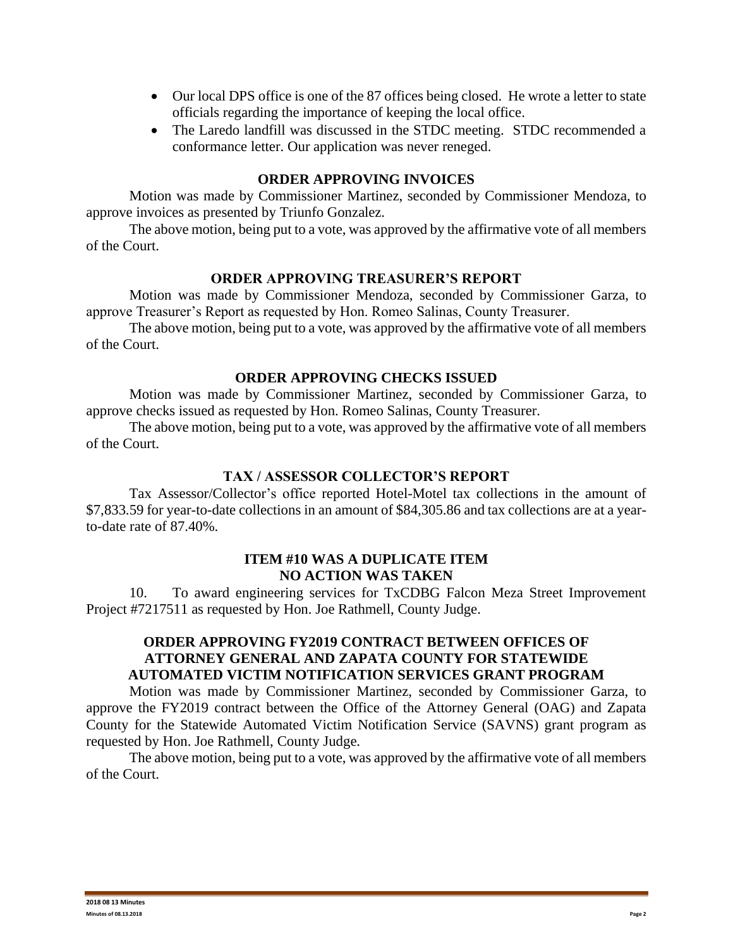- Our local DPS office is one of the 87 offices being closed. He wrote a letter to state officials regarding the importance of keeping the local office.
- The Laredo landfill was discussed in the STDC meeting. STDC recommended a conformance letter. Our application was never reneged.

#### **ORDER APPROVING INVOICES**

Motion was made by Commissioner Martinez, seconded by Commissioner Mendoza, to approve invoices as presented by Triunfo Gonzalez.

The above motion, being put to a vote, was approved by the affirmative vote of all members of the Court.

### **ORDER APPROVING TREASURER'S REPORT**

Motion was made by Commissioner Mendoza, seconded by Commissioner Garza, to approve Treasurer's Report as requested by Hon. Romeo Salinas, County Treasurer.

The above motion, being put to a vote, was approved by the affirmative vote of all members of the Court.

### **ORDER APPROVING CHECKS ISSUED**

Motion was made by Commissioner Martinez, seconded by Commissioner Garza, to approve checks issued as requested by Hon. Romeo Salinas, County Treasurer.

The above motion, being put to a vote, was approved by the affirmative vote of all members of the Court.

#### **TAX / ASSESSOR COLLECTOR'S REPORT**

Tax Assessor/Collector's office reported Hotel-Motel tax collections in the amount of \$7,833.59 for year-to-date collections in an amount of \$84,305.86 and tax collections are at a yearto-date rate of 87.40%.

### **ITEM #10 WAS A DUPLICATE ITEM NO ACTION WAS TAKEN**

10. To award engineering services for TxCDBG Falcon Meza Street Improvement Project #7217511 as requested by Hon. Joe Rathmell, County Judge.

# **ORDER APPROVING FY2019 CONTRACT BETWEEN OFFICES OF ATTORNEY GENERAL AND ZAPATA COUNTY FOR STATEWIDE AUTOMATED VICTIM NOTIFICATION SERVICES GRANT PROGRAM**

Motion was made by Commissioner Martinez, seconded by Commissioner Garza, to approve the FY2019 contract between the Office of the Attorney General (OAG) and Zapata County for the Statewide Automated Victim Notification Service (SAVNS) grant program as requested by Hon. Joe Rathmell, County Judge.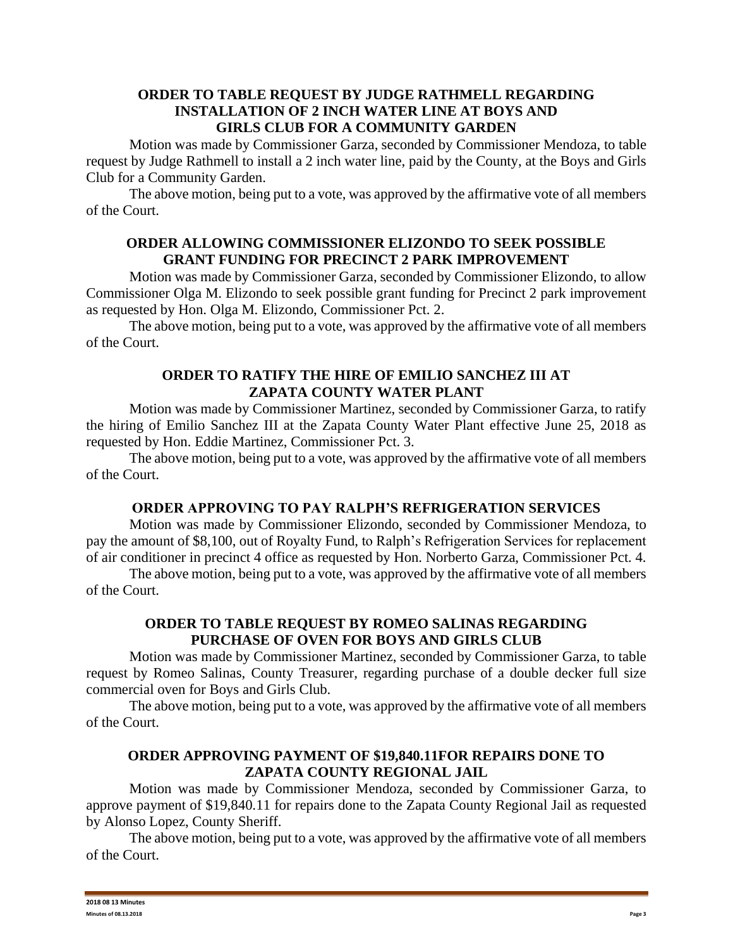### **ORDER TO TABLE REQUEST BY JUDGE RATHMELL REGARDING INSTALLATION OF 2 INCH WATER LINE AT BOYS AND GIRLS CLUB FOR A COMMUNITY GARDEN**

Motion was made by Commissioner Garza, seconded by Commissioner Mendoza, to table request by Judge Rathmell to install a 2 inch water line, paid by the County, at the Boys and Girls Club for a Community Garden.

The above motion, being put to a vote, was approved by the affirmative vote of all members of the Court.

### **ORDER ALLOWING COMMISSIONER ELIZONDO TO SEEK POSSIBLE GRANT FUNDING FOR PRECINCT 2 PARK IMPROVEMENT**

Motion was made by Commissioner Garza, seconded by Commissioner Elizondo, to allow Commissioner Olga M. Elizondo to seek possible grant funding for Precinct 2 park improvement as requested by Hon. Olga M. Elizondo, Commissioner Pct. 2.

The above motion, being put to a vote, was approved by the affirmative vote of all members of the Court.

## **ORDER TO RATIFY THE HIRE OF EMILIO SANCHEZ III AT ZAPATA COUNTY WATER PLANT**

Motion was made by Commissioner Martinez, seconded by Commissioner Garza, to ratify the hiring of Emilio Sanchez III at the Zapata County Water Plant effective June 25, 2018 as requested by Hon. Eddie Martinez, Commissioner Pct. 3.

The above motion, being put to a vote, was approved by the affirmative vote of all members of the Court.

# **ORDER APPROVING TO PAY RALPH'S REFRIGERATION SERVICES**

Motion was made by Commissioner Elizondo, seconded by Commissioner Mendoza, to pay the amount of \$8,100, out of Royalty Fund, to Ralph's Refrigeration Services for replacement of air conditioner in precinct 4 office as requested by Hon. Norberto Garza, Commissioner Pct. 4.

The above motion, being put to a vote, was approved by the affirmative vote of all members of the Court.

# **ORDER TO TABLE REQUEST BY ROMEO SALINAS REGARDING PURCHASE OF OVEN FOR BOYS AND GIRLS CLUB**

Motion was made by Commissioner Martinez, seconded by Commissioner Garza, to table request by Romeo Salinas, County Treasurer, regarding purchase of a double decker full size commercial oven for Boys and Girls Club.

The above motion, being put to a vote, was approved by the affirmative vote of all members of the Court.

## **ORDER APPROVING PAYMENT OF \$19,840.11FOR REPAIRS DONE TO ZAPATA COUNTY REGIONAL JAIL**

Motion was made by Commissioner Mendoza, seconded by Commissioner Garza, to approve payment of \$19,840.11 for repairs done to the Zapata County Regional Jail as requested by Alonso Lopez, County Sheriff.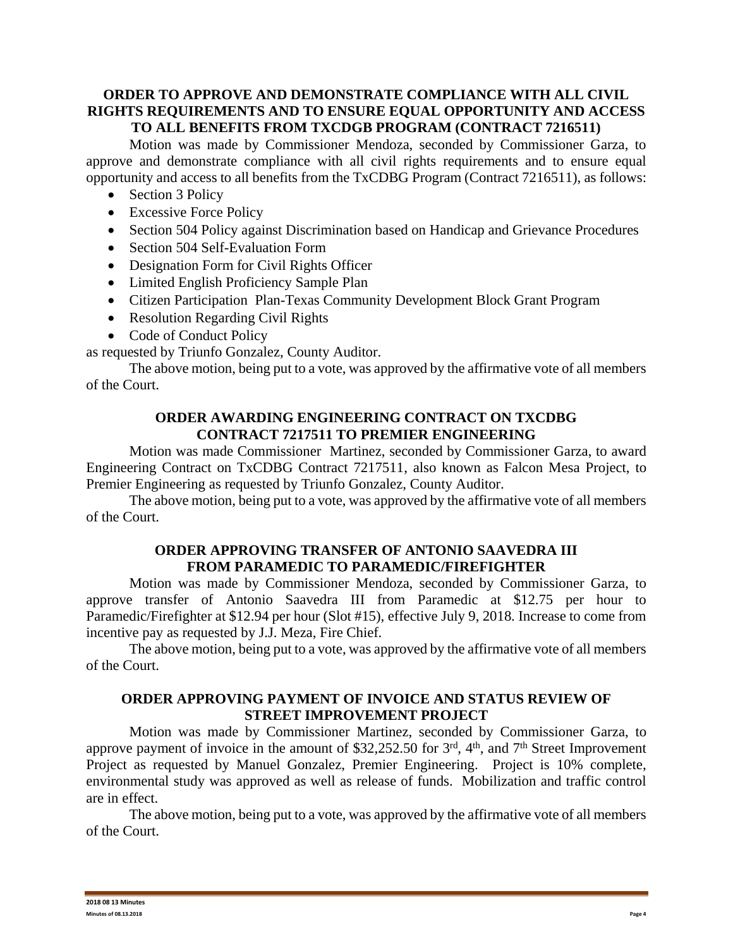## **ORDER TO APPROVE AND DEMONSTRATE COMPLIANCE WITH ALL CIVIL RIGHTS REQUIREMENTS AND TO ENSURE EQUAL OPPORTUNITY AND ACCESS TO ALL BENEFITS FROM TXCDGB PROGRAM (CONTRACT 7216511)**

Motion was made by Commissioner Mendoza, seconded by Commissioner Garza, to approve and demonstrate compliance with all civil rights requirements and to ensure equal opportunity and access to all benefits from the TxCDBG Program (Contract 7216511), as follows:

- Section 3 Policy
- Excessive Force Policy
- Section 504 Policy against Discrimination based on Handicap and Grievance Procedures
- Section 504 Self-Evaluation Form
- Designation Form for Civil Rights Officer
- Limited English Proficiency Sample Plan
- Citizen Participation Plan-Texas Community Development Block Grant Program
- Resolution Regarding Civil Rights
- Code of Conduct Policy

as requested by Triunfo Gonzalez, County Auditor.

The above motion, being put to a vote, was approved by the affirmative vote of all members of the Court.

## **ORDER AWARDING ENGINEERING CONTRACT ON TXCDBG CONTRACT 7217511 TO PREMIER ENGINEERING**

Motion was made Commissioner Martinez, seconded by Commissioner Garza, to award Engineering Contract on TxCDBG Contract 7217511, also known as Falcon Mesa Project, to Premier Engineering as requested by Triunfo Gonzalez, County Auditor.

The above motion, being put to a vote, was approved by the affirmative vote of all members of the Court.

# **ORDER APPROVING TRANSFER OF ANTONIO SAAVEDRA III FROM PARAMEDIC TO PARAMEDIC/FIREFIGHTER**

Motion was made by Commissioner Mendoza, seconded by Commissioner Garza, to approve transfer of Antonio Saavedra III from Paramedic at \$12.75 per hour to Paramedic/Firefighter at \$12.94 per hour (Slot #15), effective July 9, 2018. Increase to come from incentive pay as requested by J.J. Meza, Fire Chief.

The above motion, being put to a vote, was approved by the affirmative vote of all members of the Court.

# **ORDER APPROVING PAYMENT OF INVOICE AND STATUS REVIEW OF STREET IMPROVEMENT PROJECT**

Motion was made by Commissioner Martinez, seconded by Commissioner Garza, to approve payment of invoice in the amount of \$32,252.50 for  $3<sup>rd</sup>$ ,  $4<sup>th</sup>$ , and  $7<sup>th</sup>$  Street Improvement Project as requested by Manuel Gonzalez, Premier Engineering. Project is 10% complete, environmental study was approved as well as release of funds. Mobilization and traffic control are in effect.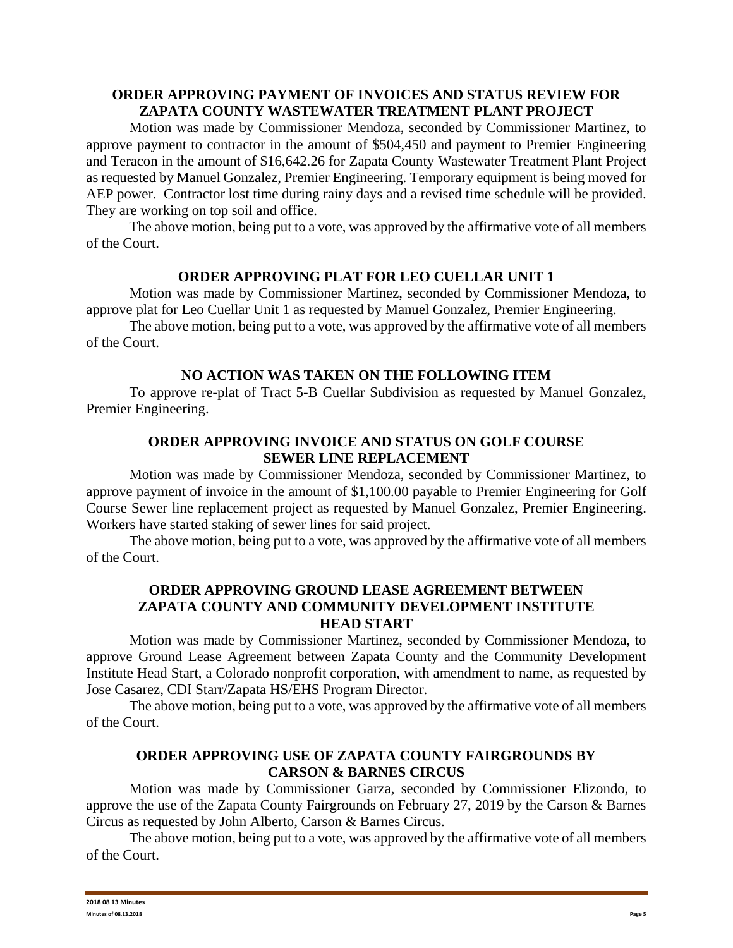## **ORDER APPROVING PAYMENT OF INVOICES AND STATUS REVIEW FOR ZAPATA COUNTY WASTEWATER TREATMENT PLANT PROJECT**

Motion was made by Commissioner Mendoza, seconded by Commissioner Martinez, to approve payment to contractor in the amount of \$504,450 and payment to Premier Engineering and Teracon in the amount of \$16,642.26 for Zapata County Wastewater Treatment Plant Project as requested by Manuel Gonzalez, Premier Engineering. Temporary equipment is being moved for AEP power. Contractor lost time during rainy days and a revised time schedule will be provided. They are working on top soil and office.

The above motion, being put to a vote, was approved by the affirmative vote of all members of the Court.

## **ORDER APPROVING PLAT FOR LEO CUELLAR UNIT 1**

Motion was made by Commissioner Martinez, seconded by Commissioner Mendoza, to approve plat for Leo Cuellar Unit 1 as requested by Manuel Gonzalez, Premier Engineering.

The above motion, being put to a vote, was approved by the affirmative vote of all members of the Court.

## **NO ACTION WAS TAKEN ON THE FOLLOWING ITEM**

To approve re-plat of Tract 5-B Cuellar Subdivision as requested by Manuel Gonzalez, Premier Engineering.

## **ORDER APPROVING INVOICE AND STATUS ON GOLF COURSE SEWER LINE REPLACEMENT**

Motion was made by Commissioner Mendoza, seconded by Commissioner Martinez, to approve payment of invoice in the amount of \$1,100.00 payable to Premier Engineering for Golf Course Sewer line replacement project as requested by Manuel Gonzalez, Premier Engineering. Workers have started staking of sewer lines for said project.

The above motion, being put to a vote, was approved by the affirmative vote of all members of the Court.

## **ORDER APPROVING GROUND LEASE AGREEMENT BETWEEN ZAPATA COUNTY AND COMMUNITY DEVELOPMENT INSTITUTE HEAD START**

Motion was made by Commissioner Martinez, seconded by Commissioner Mendoza, to approve Ground Lease Agreement between Zapata County and the Community Development Institute Head Start, a Colorado nonprofit corporation, with amendment to name, as requested by Jose Casarez, CDI Starr/Zapata HS/EHS Program Director.

The above motion, being put to a vote, was approved by the affirmative vote of all members of the Court.

### **ORDER APPROVING USE OF ZAPATA COUNTY FAIRGROUNDS BY CARSON & BARNES CIRCUS**

Motion was made by Commissioner Garza, seconded by Commissioner Elizondo, to approve the use of the Zapata County Fairgrounds on February 27, 2019 by the Carson & Barnes Circus as requested by John Alberto, Carson & Barnes Circus.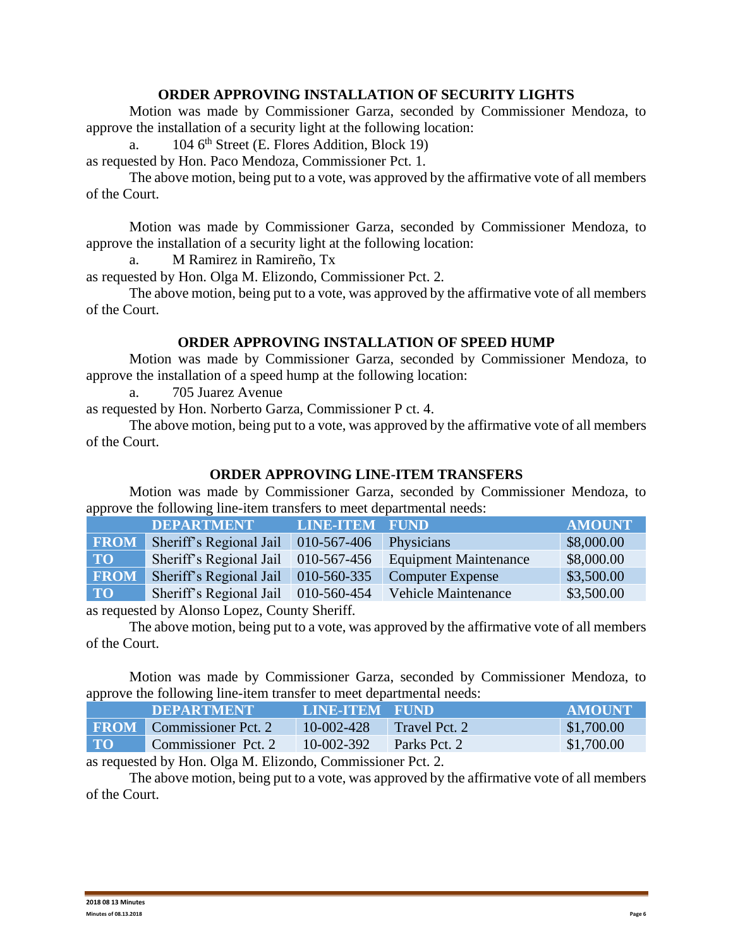### **ORDER APPROVING INSTALLATION OF SECURITY LIGHTS**

Motion was made by Commissioner Garza, seconded by Commissioner Mendoza, to approve the installation of a security light at the following location:

a.  $104.6<sup>th</sup> Street (E. Flores Addition, Block 19)$ 

as requested by Hon. Paco Mendoza, Commissioner Pct. 1.

The above motion, being put to a vote, was approved by the affirmative vote of all members of the Court.

Motion was made by Commissioner Garza, seconded by Commissioner Mendoza, to approve the installation of a security light at the following location:

a. M Ramirez in Ramireño, Tx

as requested by Hon. Olga M. Elizondo, Commissioner Pct. 2.

The above motion, being put to a vote, was approved by the affirmative vote of all members of the Court.

### **ORDER APPROVING INSTALLATION OF SPEED HUMP**

Motion was made by Commissioner Garza, seconded by Commissioner Mendoza, to approve the installation of a speed hump at the following location:

a. 705 Juarez Avenue

as requested by Hon. Norberto Garza, Commissioner P ct. 4.

The above motion, being put to a vote, was approved by the affirmative vote of all members of the Court.

### **ORDER APPROVING LINE-ITEM TRANSFERS**

Motion was made by Commissioner Garza, seconded by Commissioner Mendoza, to approve the following line-item transfers to meet departmental needs:

|             | <b>DEPARTMENT</b>                   | <b>LINE-ITEM</b> | <b>FUND</b>                  | <b>AMOUNT</b> |
|-------------|-------------------------------------|------------------|------------------------------|---------------|
| <b>FROM</b> | Sheriff's Regional Jail             | 010-567-406      | Physicians                   | \$8,000.00    |
| <b>TO</b>   | Sheriff's Regional Jail 010-567-456 |                  | <b>Equipment Maintenance</b> | \$8,000.00    |
| <b>FROM</b> | Sheriff's Regional Jail             | 010-560-335      | <b>Computer Expense</b>      | \$3,500.00    |
| <b>TO</b>   | Sheriff's Regional Jail             | $010-560-454$    | <b>Vehicle Maintenance</b>   | \$3,500.00    |

as requested by Alonso Lopez, County Sheriff.

The above motion, being put to a vote, was approved by the affirmative vote of all members of the Court.

Motion was made by Commissioner Garza, seconded by Commissioner Mendoza, to approve the following line-item transfer to meet departmental needs:

|           | <b>DEPARTMENT</b>               | LINE-ITEM FUND |               | <b>AMOUNT</b> |
|-----------|---------------------------------|----------------|---------------|---------------|
|           | <b>FROM</b> Commissioner Pct. 2 | 10-002-428     | Travel Pct. 2 | \$1,700.00    |
| $\bf{TO}$ | Commissioner Pct. 2             | 10-002-392     | Parks Pct. 2  | \$1,700.00    |

as requested by Hon. Olga M. Elizondo, Commissioner Pct. 2.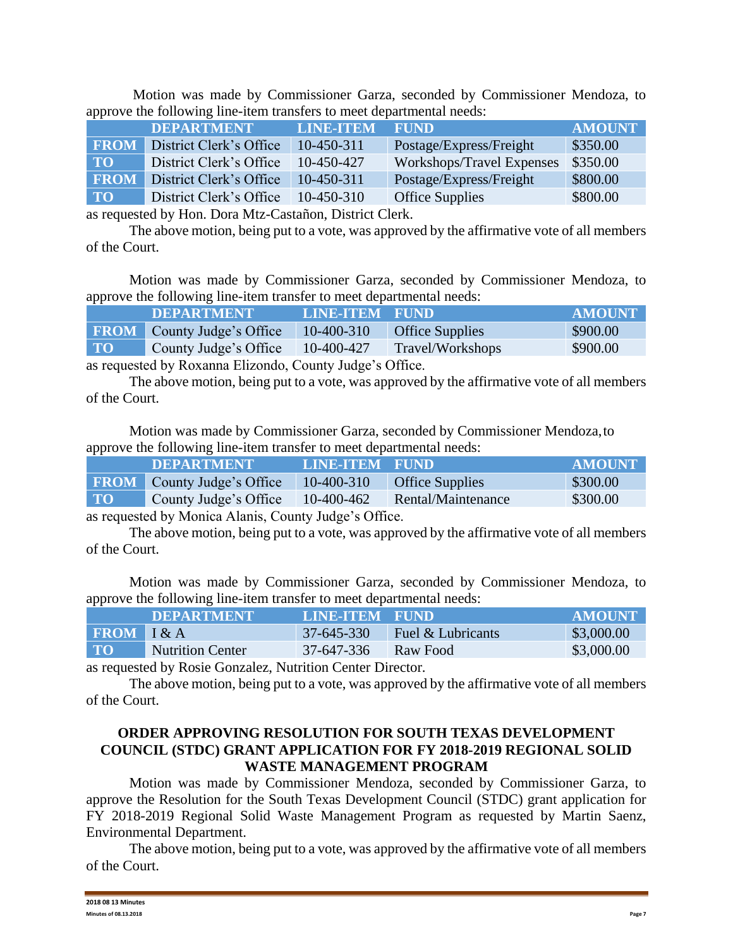Motion was made by Commissioner Garza, seconded by Commissioner Mendoza, to approve the following line-item transfers to meet departmental needs:

|                                                                                                                                                                                                                                                                                                                                    | <b>DEPARTMENT</b>       | <b>LINE-ITEM</b> | <b>FUND</b>               | <b>AMOUNT</b> |  |
|------------------------------------------------------------------------------------------------------------------------------------------------------------------------------------------------------------------------------------------------------------------------------------------------------------------------------------|-------------------------|------------------|---------------------------|---------------|--|
| <b>FROM</b>                                                                                                                                                                                                                                                                                                                        | District Clerk's Office | 10-450-311       | Postage/Express/Freight   | \$350.00      |  |
| <b>TO</b>                                                                                                                                                                                                                                                                                                                          | District Clerk's Office | 10-450-427       | Workshops/Travel Expenses | \$350.00      |  |
| <b>FROM</b>                                                                                                                                                                                                                                                                                                                        | District Clerk's Office | 10-450-311       | Postage/Express/Freight   | \$800.00      |  |
| <b>TO</b>                                                                                                                                                                                                                                                                                                                          | District Clerk's Office | 10-450-310       | <b>Office Supplies</b>    | \$800.00      |  |
| $\mathbf{1}$ $\mathbf{1}$ $\mathbf{1}$ $\mathbf{1}$ $\mathbf{1}$ $\mathbf{1}$ $\mathbf{1}$ $\mathbf{1}$ $\mathbf{1}$ $\mathbf{1}$ $\mathbf{1}$ $\mathbf{1}$ $\mathbf{1}$ $\mathbf{1}$ $\mathbf{1}$ $\mathbf{1}$ $\mathbf{1}$ $\mathbf{1}$ $\mathbf{1}$ $\mathbf{1}$ $\mathbf{1}$ $\mathbf{1}$ $\mathbf{1}$ $\mathbf{1}$ $\mathbf{$ |                         |                  |                           |               |  |

as requested by Hon. Dora Mtz-Castañon, District Clerk.

The above motion, being put to a vote, was approved by the affirmative vote of all members of the Court.

Motion was made by Commissioner Garza, seconded by Commissioner Mendoza, to approve the following line-item transfer to meet departmental needs:

|                      | <b>DEPARTMENT</b>                 | LINE-ITEM FUND                                                             |                        | <b>AMOUNT</b> |
|----------------------|-----------------------------------|----------------------------------------------------------------------------|------------------------|---------------|
|                      | <b>FROM</b> County Judge's Office | $10-400-310$                                                               | <b>Office Supplies</b> | \$900.00      |
| $\Gamma$ TO $\Gamma$ | County Judge's Office             | 10-400-427                                                                 | Travel/Workshops       | \$900.00      |
|                      |                                   | $\Gamma$ <sup>1</sup> 1 $\alpha$ $\Gamma$ 1 $\gamma$ $\alpha$ <sup>n</sup> |                        |               |

as requested by Roxanna Elizondo, County Judge's Office.

The above motion, being put to a vote, was approved by the affirmative vote of all members of the Court.

Motion was made by Commissioner Garza, seconded by Commissioner Mendoza,to approve the following line-item transfer to meet departmental needs:

|           | <b>DEPARTMENT</b>                 | <b>LINE-ITEM FUND</b> |                        | <b>AMOUNT</b> |
|-----------|-----------------------------------|-----------------------|------------------------|---------------|
|           | <b>FROM</b> County Judge's Office | 10-400-310            | <b>Office Supplies</b> | \$300.00      |
| <b>TO</b> | County Judge's Office             | $10-400-462$          | Rental/Maintenance     | \$300.00      |
|           |                                   |                       |                        |               |

as requested by Monica Alanis, County Judge's Office.

The above motion, being put to a vote, was approved by the affirmative vote of all members of the Court.

Motion was made by Commissioner Garza, seconded by Commissioner Mendoza, to approve the following line-item transfer to meet departmental needs:

|                | <b>DEPARTMENT</b>       | LINE-ITEM FUND |                   | AMOUNT     |
|----------------|-------------------------|----------------|-------------------|------------|
| $FROM$ $I & A$ |                         | 37-645-330     | Fuel & Lubricants | \$3,000.00 |
| <b>TO</b>      | <b>Nutrition Center</b> | 37-647-336     | Raw Food          | \$3,000.00 |

as requested by Rosie Gonzalez, Nutrition Center Director.

The above motion, being put to a vote, was approved by the affirmative vote of all members of the Court.

## **ORDER APPROVING RESOLUTION FOR SOUTH TEXAS DEVELOPMENT COUNCIL (STDC) GRANT APPLICATION FOR FY 2018-2019 REGIONAL SOLID WASTE MANAGEMENT PROGRAM**

Motion was made by Commissioner Mendoza, seconded by Commissioner Garza, to approve the Resolution for the South Texas Development Council (STDC) grant application for FY 2018-2019 Regional Solid Waste Management Program as requested by Martin Saenz, Environmental Department.